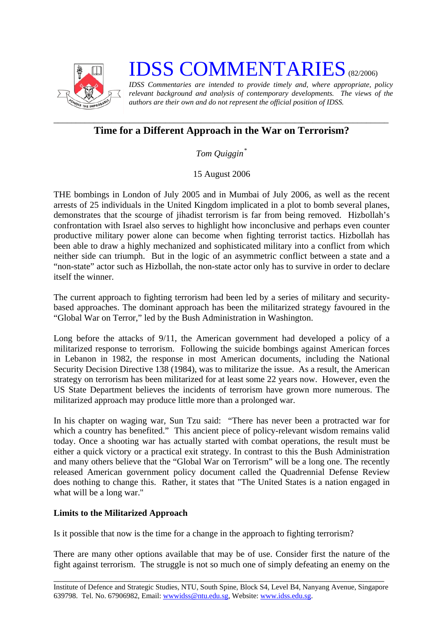

## **IDSS COMMENTARIES** (82/2006)

*IDSS Commentaries are intended to provide timely and, where appropriate, policy relevant background and analysis of contemporary developments. The views of the authors are their own and do not represent the official position of IDSS.* 

## *\_\_\_\_\_\_\_\_\_\_\_\_\_\_\_\_\_\_\_\_\_\_\_\_\_\_\_\_\_\_\_\_\_\_\_\_\_\_\_\_\_\_\_\_\_\_\_\_\_\_\_\_\_\_\_\_\_\_\_\_\_\_\_\_\_\_\_\_\_\_\_\_\_\_\_*  **Time for a Different Approach in the War on Terrorism?**

*Tom Quiggin[\\*](#page-1-0)*

15 August 2006

THE bombings in London of July 2005 and in Mumbai of July 2006, as well as the recent arrests of 25 individuals in the United Kingdom implicated in a plot to bomb several planes, demonstrates that the scourge of jihadist terrorism is far from being removed. Hizbollah's confrontation with Israel also serves to highlight how inconclusive and perhaps even counter productive military power alone can become when fighting terrorist tactics. Hizbollah has been able to draw a highly mechanized and sophisticated military into a conflict from which neither side can triumph. But in the logic of an asymmetric conflict between a state and a "non-state" actor such as Hizbollah, the non-state actor only has to survive in order to declare itself the winner.

The current approach to fighting terrorism had been led by a series of military and securitybased approaches. The dominant approach has been the militarized strategy favoured in the "Global War on Terror," led by the Bush Administration in Washington.

Long before the attacks of 9/11, the American government had developed a policy of a militarized response to terrorism. Following the suicide bombings against American forces in Lebanon in 1982, the response in most American documents, including the National Security Decision Directive 138 (1984), was to militarize the issue. As a result, the American strategy on terrorism has been militarized for at least some 22 years now. However, even the US State Department believes the incidents of terrorism have grown more numerous. The militarized approach may produce little more than a prolonged war.

In his chapter on waging war, Sun Tzu said: "There has never been a protracted war for which a country has benefited." This ancient piece of policy-relevant wisdom remains valid today. Once a shooting war has actually started with combat operations, the result must be either a quick victory or a practical exit strategy. In contrast to this the Bush Administration and many others believe that the "Global War on Terrorism" will be a long one. The recently released American government policy document called the Quadrennial Defense Review does nothing to change this. Rather, it states that "The United States is a nation engaged in what will be a long war."

## **Limits to the Militarized Approach**

Is it possible that now is the time for a change in the approach to fighting terrorism?

There are many other options available that may be of use. Consider first the nature of the fight against terrorism. The struggle is not so much one of simply defeating an enemy on the